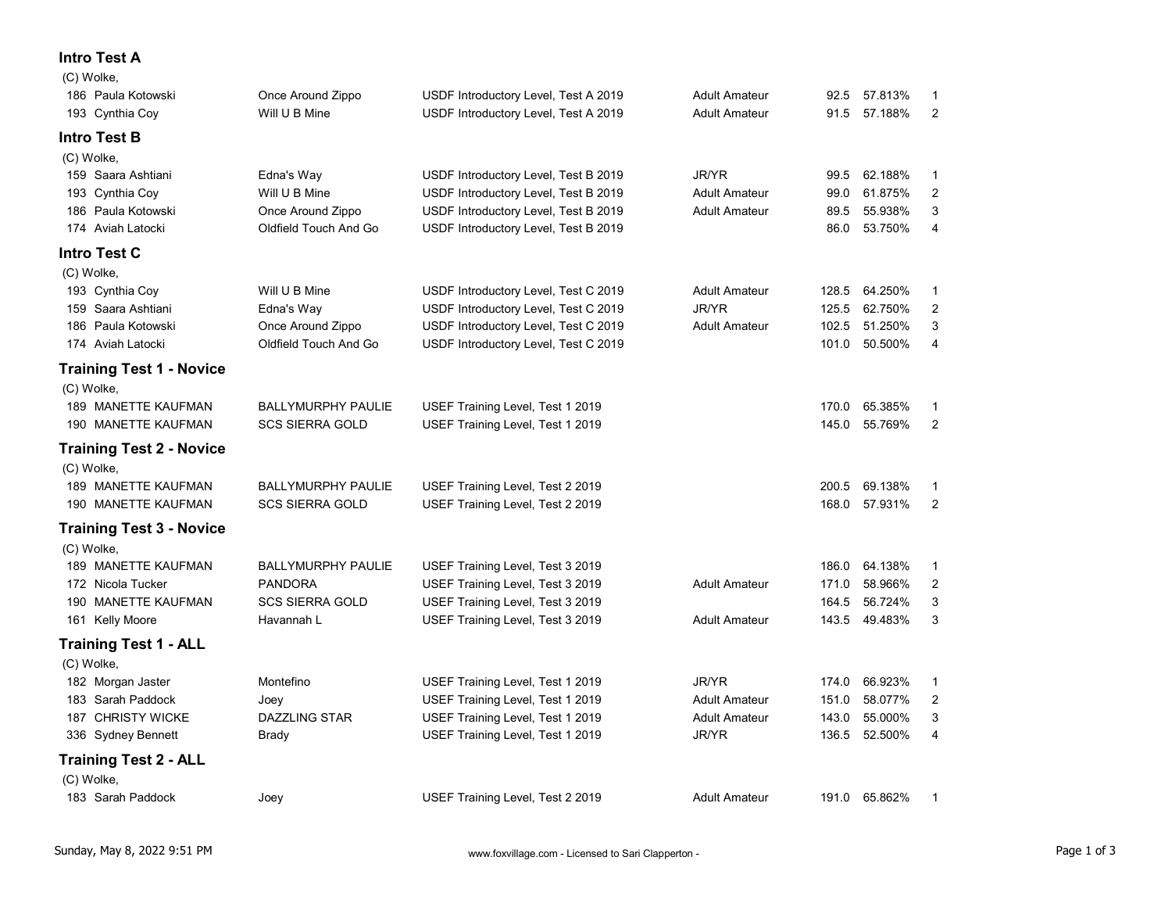## Intro Test A

| 51.250%<br>186 Paula Kotowski<br>Once Around Zippo<br>USDF Introductory Level, Test C 2019<br>3<br><b>Adult Amateur</b><br>102.5<br>50.500%<br>Oldfield Touch And Go<br>USDF Introductory Level, Test C 2019<br>174 Aviah Latocki<br>101.0<br>-4<br><b>Training Test 1 - Novice</b><br>(C) Wolke,<br>189 MANETTE KAUFMAN<br>BALLYMURPHY PAULIE<br>USEF Training Level, Test 1 2019<br>170.0 65.385%<br>$\overline{1}$<br>145.0 55.769%<br>190 MANETTE KAUFMAN<br><b>SCS SIERRA GOLD</b><br>USEF Training Level, Test 1 2019<br>$\overline{2}$<br><b>Training Test 2 - Novice</b><br>(C) Wolke,<br>189 MANETTE KAUFMAN<br><b>BALLYMURPHY PAULIE</b><br>200.5 69.138%<br>USEF Training Level, Test 2 2019<br>$\overline{1}$<br>168.0 57.931% 2<br>190 MANETTE KAUFMAN<br><b>SCS SIERRA GOLD</b><br>USEF Training Level, Test 2 2019<br><b>Training Test 3 - Novice</b><br>(C) Wolke,<br>189 MANETTE KAUFMAN<br>BALLYMURPHY PAULIE<br>USEF Training Level, Test 3 2019<br>186.0 64.138%<br>-1<br>58.966%<br>PANDORA<br>USEF Training Level, Test 3 2019<br>171.0<br>$\overline{2}$<br>172 Nicola Tucker<br><b>Adult Amateur</b><br>164.5 56.724%<br>190 MANETTE KAUFMAN<br>SCS SIERRA GOLD<br>USEF Training Level, Test 3 2019<br>$\mathbf{3}$<br>143.5 49.483%<br>USEF Training Level, Test 3 2019<br>161 Kelly Moore<br>Havannah L<br>$\overline{\mathbf{3}}$<br><b>Adult Amateur</b><br><b>Training Test 1 - ALL</b><br>(C) Wolke,<br>JR/YR<br>USEF Training Level, Test 1 2019<br>174.0 66.923%<br>182 Morgan Jaster<br>Montefino<br>$\overline{1}$<br>58.077%<br>183 Sarah Paddock<br>USEF Training Level, Test 1 2019<br>Joey<br><b>Adult Amateur</b><br>151.0<br>2<br>DAZZLING STAR<br>55.000%<br>187 CHRISTY WICKE<br>USEF Training Level, Test 1 2019<br><b>Adult Amateur</b><br>143.0<br>$\mathbf{3}$<br>136.5 52.500%<br>USEF Training Level, Test 1 2019<br>JR/YR<br>336 Sydney Bennett<br>Brady<br>4<br><b>Training Test 2 - ALL</b><br>(C) Wolke,<br>191.0 65.862% 1<br>USEF Training Level, Test 2 2019<br>183 Sarah Paddock<br>Joey<br><b>Adult Amateur</b> |
|--------------------------------------------------------------------------------------------------------------------------------------------------------------------------------------------------------------------------------------------------------------------------------------------------------------------------------------------------------------------------------------------------------------------------------------------------------------------------------------------------------------------------------------------------------------------------------------------------------------------------------------------------------------------------------------------------------------------------------------------------------------------------------------------------------------------------------------------------------------------------------------------------------------------------------------------------------------------------------------------------------------------------------------------------------------------------------------------------------------------------------------------------------------------------------------------------------------------------------------------------------------------------------------------------------------------------------------------------------------------------------------------------------------------------------------------------------------------------------------------------------------------------------------------------------------------------------------------------------------------------------------------------------------------------------------------------------------------------------------------------------------------------------------------------------------------------------------------------------------------------------------------------------------------------------------------------------------------------------------------------------------------------------------------------------------------------|
|                                                                                                                                                                                                                                                                                                                                                                                                                                                                                                                                                                                                                                                                                                                                                                                                                                                                                                                                                                                                                                                                                                                                                                                                                                                                                                                                                                                                                                                                                                                                                                                                                                                                                                                                                                                                                                                                                                                                                                                                                                                                          |
|                                                                                                                                                                                                                                                                                                                                                                                                                                                                                                                                                                                                                                                                                                                                                                                                                                                                                                                                                                                                                                                                                                                                                                                                                                                                                                                                                                                                                                                                                                                                                                                                                                                                                                                                                                                                                                                                                                                                                                                                                                                                          |
|                                                                                                                                                                                                                                                                                                                                                                                                                                                                                                                                                                                                                                                                                                                                                                                                                                                                                                                                                                                                                                                                                                                                                                                                                                                                                                                                                                                                                                                                                                                                                                                                                                                                                                                                                                                                                                                                                                                                                                                                                                                                          |
|                                                                                                                                                                                                                                                                                                                                                                                                                                                                                                                                                                                                                                                                                                                                                                                                                                                                                                                                                                                                                                                                                                                                                                                                                                                                                                                                                                                                                                                                                                                                                                                                                                                                                                                                                                                                                                                                                                                                                                                                                                                                          |
|                                                                                                                                                                                                                                                                                                                                                                                                                                                                                                                                                                                                                                                                                                                                                                                                                                                                                                                                                                                                                                                                                                                                                                                                                                                                                                                                                                                                                                                                                                                                                                                                                                                                                                                                                                                                                                                                                                                                                                                                                                                                          |
|                                                                                                                                                                                                                                                                                                                                                                                                                                                                                                                                                                                                                                                                                                                                                                                                                                                                                                                                                                                                                                                                                                                                                                                                                                                                                                                                                                                                                                                                                                                                                                                                                                                                                                                                                                                                                                                                                                                                                                                                                                                                          |
|                                                                                                                                                                                                                                                                                                                                                                                                                                                                                                                                                                                                                                                                                                                                                                                                                                                                                                                                                                                                                                                                                                                                                                                                                                                                                                                                                                                                                                                                                                                                                                                                                                                                                                                                                                                                                                                                                                                                                                                                                                                                          |
|                                                                                                                                                                                                                                                                                                                                                                                                                                                                                                                                                                                                                                                                                                                                                                                                                                                                                                                                                                                                                                                                                                                                                                                                                                                                                                                                                                                                                                                                                                                                                                                                                                                                                                                                                                                                                                                                                                                                                                                                                                                                          |
|                                                                                                                                                                                                                                                                                                                                                                                                                                                                                                                                                                                                                                                                                                                                                                                                                                                                                                                                                                                                                                                                                                                                                                                                                                                                                                                                                                                                                                                                                                                                                                                                                                                                                                                                                                                                                                                                                                                                                                                                                                                                          |
|                                                                                                                                                                                                                                                                                                                                                                                                                                                                                                                                                                                                                                                                                                                                                                                                                                                                                                                                                                                                                                                                                                                                                                                                                                                                                                                                                                                                                                                                                                                                                                                                                                                                                                                                                                                                                                                                                                                                                                                                                                                                          |
|                                                                                                                                                                                                                                                                                                                                                                                                                                                                                                                                                                                                                                                                                                                                                                                                                                                                                                                                                                                                                                                                                                                                                                                                                                                                                                                                                                                                                                                                                                                                                                                                                                                                                                                                                                                                                                                                                                                                                                                                                                                                          |
|                                                                                                                                                                                                                                                                                                                                                                                                                                                                                                                                                                                                                                                                                                                                                                                                                                                                                                                                                                                                                                                                                                                                                                                                                                                                                                                                                                                                                                                                                                                                                                                                                                                                                                                                                                                                                                                                                                                                                                                                                                                                          |
|                                                                                                                                                                                                                                                                                                                                                                                                                                                                                                                                                                                                                                                                                                                                                                                                                                                                                                                                                                                                                                                                                                                                                                                                                                                                                                                                                                                                                                                                                                                                                                                                                                                                                                                                                                                                                                                                                                                                                                                                                                                                          |
|                                                                                                                                                                                                                                                                                                                                                                                                                                                                                                                                                                                                                                                                                                                                                                                                                                                                                                                                                                                                                                                                                                                                                                                                                                                                                                                                                                                                                                                                                                                                                                                                                                                                                                                                                                                                                                                                                                                                                                                                                                                                          |
|                                                                                                                                                                                                                                                                                                                                                                                                                                                                                                                                                                                                                                                                                                                                                                                                                                                                                                                                                                                                                                                                                                                                                                                                                                                                                                                                                                                                                                                                                                                                                                                                                                                                                                                                                                                                                                                                                                                                                                                                                                                                          |
|                                                                                                                                                                                                                                                                                                                                                                                                                                                                                                                                                                                                                                                                                                                                                                                                                                                                                                                                                                                                                                                                                                                                                                                                                                                                                                                                                                                                                                                                                                                                                                                                                                                                                                                                                                                                                                                                                                                                                                                                                                                                          |
|                                                                                                                                                                                                                                                                                                                                                                                                                                                                                                                                                                                                                                                                                                                                                                                                                                                                                                                                                                                                                                                                                                                                                                                                                                                                                                                                                                                                                                                                                                                                                                                                                                                                                                                                                                                                                                                                                                                                                                                                                                                                          |
|                                                                                                                                                                                                                                                                                                                                                                                                                                                                                                                                                                                                                                                                                                                                                                                                                                                                                                                                                                                                                                                                                                                                                                                                                                                                                                                                                                                                                                                                                                                                                                                                                                                                                                                                                                                                                                                                                                                                                                                                                                                                          |
|                                                                                                                                                                                                                                                                                                                                                                                                                                                                                                                                                                                                                                                                                                                                                                                                                                                                                                                                                                                                                                                                                                                                                                                                                                                                                                                                                                                                                                                                                                                                                                                                                                                                                                                                                                                                                                                                                                                                                                                                                                                                          |
|                                                                                                                                                                                                                                                                                                                                                                                                                                                                                                                                                                                                                                                                                                                                                                                                                                                                                                                                                                                                                                                                                                                                                                                                                                                                                                                                                                                                                                                                                                                                                                                                                                                                                                                                                                                                                                                                                                                                                                                                                                                                          |
| JR/YR<br>62.750%<br>159 Saara Ashtiani<br>Edna's Way<br>USDF Introductory Level, Test C 2019<br>$\overline{2}$<br>125.5                                                                                                                                                                                                                                                                                                                                                                                                                                                                                                                                                                                                                                                                                                                                                                                                                                                                                                                                                                                                                                                                                                                                                                                                                                                                                                                                                                                                                                                                                                                                                                                                                                                                                                                                                                                                                                                                                                                                                  |
| (C) Wolke,<br>Will U B Mine<br>64.250%<br>193 Cynthia Coy<br>USDF Introductory Level, Test C 2019<br><b>Adult Amateur</b><br>128.5<br>- 1                                                                                                                                                                                                                                                                                                                                                                                                                                                                                                                                                                                                                                                                                                                                                                                                                                                                                                                                                                                                                                                                                                                                                                                                                                                                                                                                                                                                                                                                                                                                                                                                                                                                                                                                                                                                                                                                                                                                |
| <b>Intro Test C</b>                                                                                                                                                                                                                                                                                                                                                                                                                                                                                                                                                                                                                                                                                                                                                                                                                                                                                                                                                                                                                                                                                                                                                                                                                                                                                                                                                                                                                                                                                                                                                                                                                                                                                                                                                                                                                                                                                                                                                                                                                                                      |
| 53.750%<br>Oldfield Touch And Go<br>USDF Introductory Level, Test B 2019<br>86.0<br>174 Aviah Latocki<br>4                                                                                                                                                                                                                                                                                                                                                                                                                                                                                                                                                                                                                                                                                                                                                                                                                                                                                                                                                                                                                                                                                                                                                                                                                                                                                                                                                                                                                                                                                                                                                                                                                                                                                                                                                                                                                                                                                                                                                               |
| USDF Introductory Level, Test B 2019<br>55.938%<br>186 Paula Kotowski<br>Once Around Zippo<br>89.5<br>3<br><b>Adult Amateur</b>                                                                                                                                                                                                                                                                                                                                                                                                                                                                                                                                                                                                                                                                                                                                                                                                                                                                                                                                                                                                                                                                                                                                                                                                                                                                                                                                                                                                                                                                                                                                                                                                                                                                                                                                                                                                                                                                                                                                          |
| Will U B Mine<br>61.875%<br>193 Cynthia Coy<br>USDF Introductory Level, Test B 2019<br><b>Adult Amateur</b><br>$\overline{2}$<br>99.0                                                                                                                                                                                                                                                                                                                                                                                                                                                                                                                                                                                                                                                                                                                                                                                                                                                                                                                                                                                                                                                                                                                                                                                                                                                                                                                                                                                                                                                                                                                                                                                                                                                                                                                                                                                                                                                                                                                                    |
| (C) Wolke,<br>JR/YR<br>62.188%<br>159 Saara Ashtiani<br>Edna's Way<br>USDF Introductory Level, Test B 2019<br>99.5<br>-1                                                                                                                                                                                                                                                                                                                                                                                                                                                                                                                                                                                                                                                                                                                                                                                                                                                                                                                                                                                                                                                                                                                                                                                                                                                                                                                                                                                                                                                                                                                                                                                                                                                                                                                                                                                                                                                                                                                                                 |
| <b>Intro Test B</b>                                                                                                                                                                                                                                                                                                                                                                                                                                                                                                                                                                                                                                                                                                                                                                                                                                                                                                                                                                                                                                                                                                                                                                                                                                                                                                                                                                                                                                                                                                                                                                                                                                                                                                                                                                                                                                                                                                                                                                                                                                                      |
| Will U B Mine<br>91.5 57.188%<br>$\overline{2}$<br>193 Cynthia Coy<br>USDF Introductory Level, Test A 2019<br><b>Adult Amateur</b>                                                                                                                                                                                                                                                                                                                                                                                                                                                                                                                                                                                                                                                                                                                                                                                                                                                                                                                                                                                                                                                                                                                                                                                                                                                                                                                                                                                                                                                                                                                                                                                                                                                                                                                                                                                                                                                                                                                                       |
| 57.813%<br>186 Paula Kotowski<br>Once Around Zippo<br>USDF Introductory Level, Test A 2019<br><b>Adult Amateur</b><br>92.5<br>-1                                                                                                                                                                                                                                                                                                                                                                                                                                                                                                                                                                                                                                                                                                                                                                                                                                                                                                                                                                                                                                                                                                                                                                                                                                                                                                                                                                                                                                                                                                                                                                                                                                                                                                                                                                                                                                                                                                                                         |
| (C) Wolke,                                                                                                                                                                                                                                                                                                                                                                                                                                                                                                                                                                                                                                                                                                                                                                                                                                                                                                                                                                                                                                                                                                                                                                                                                                                                                                                                                                                                                                                                                                                                                                                                                                                                                                                                                                                                                                                                                                                                                                                                                                                               |
| <b>Intro Test A</b>                                                                                                                                                                                                                                                                                                                                                                                                                                                                                                                                                                                                                                                                                                                                                                                                                                                                                                                                                                                                                                                                                                                                                                                                                                                                                                                                                                                                                                                                                                                                                                                                                                                                                                                                                                                                                                                                                                                                                                                                                                                      |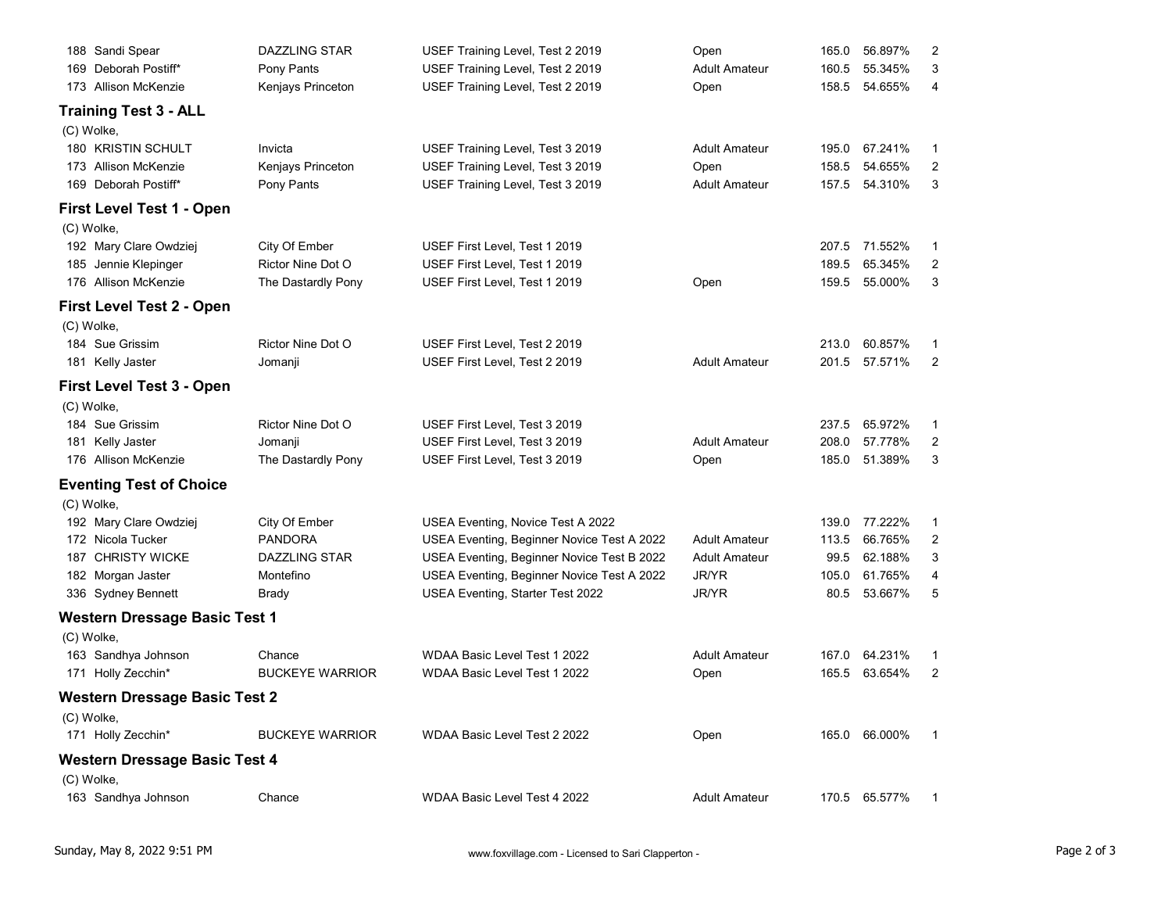| Sunday, May 8, 2022 9:51 PM                                              |                                         | www.foxvillage.com - Licensed to Sari Clapperton -                              |                              |                        |                    |                                  | Page 2 of 3 |
|--------------------------------------------------------------------------|-----------------------------------------|---------------------------------------------------------------------------------|------------------------------|------------------------|--------------------|----------------------------------|-------------|
| (C) Wolke,<br>163 Sandhya Johnson<br>Chance                              |                                         | WDAA Basic Level Test 4 2022                                                    | <b>Adult Amateur</b>         | 170.5 65.577%          |                    | $\overline{1}$                   |             |
| <b>Western Dressage Basic Test 4</b>                                     |                                         |                                                                                 |                              |                        |                    |                                  |             |
| <b>Western Dressage Basic Test 2</b><br>(C) Wolke,<br>171 Holly Zecchin* | <b>BUCKEYE WARRIOR</b>                  | WDAA Basic Level Test 2 2022                                                    | Open                         | 165.0 66.000%          |                    | $\overline{1}$                   |             |
| 171 Holly Zecchin*                                                       | <b>BUCKEYE WARRIOR</b>                  | WDAA Basic Level Test 1 2022                                                    | Open                         | 165.5 63.654%          |                    | $\overline{2}$                   |             |
| (C) Wolke,<br>163 Sandhya Johnson<br>Chance                              |                                         | WDAA Basic Level Test 1 2022                                                    | <b>Adult Amateur</b>         | 167.0                  | 64.231%            | - 1                              |             |
| <b>Western Dressage Basic Test 1</b>                                     |                                         |                                                                                 |                              |                        |                    |                                  |             |
| 182 Morgan Jaster<br>336 Sydney Bennett<br><b>Brady</b>                  | Montefino                               | USEA Eventing, Beginner Novice Test A 2022<br>USEA Eventing, Starter Test 2022  | JR/YR<br>JR/YR               | 105.0<br>80.5          | 61.765%<br>53.667% | $\overline{4}$<br>$\sqrt{5}$     |             |
| 187 CHRISTY WICKE                                                        | DAZZLING STAR                           | USEA Eventing, Beginner Novice Test B 2022                                      | <b>Adult Amateur</b>         | 99.5                   | 62.188%            | $\mathbf{3}$                     |             |
| 192 Mary Clare Owdziej<br>172 Nicola Tucker                              | City Of Ember<br><b>PANDORA</b>         | USEA Eventing, Novice Test A 2022<br>USEA Eventing, Beginner Novice Test A 2022 | <b>Adult Amateur</b>         | 139.0 77.222%<br>113.5 | 66.765%            | -1<br>$\overline{2}$             |             |
| <b>Eventing Test of Choice</b><br>(C) Wolke,                             |                                         |                                                                                 |                              |                        |                    |                                  |             |
| 176 Allison McKenzie                                                     | The Dastardly Pony                      | USEF First Level, Test 3 2019                                                   | Open                         | 185.0 51.389%          |                    | $\mathbf{3}$                     |             |
| 184 Sue Grissim<br>181 Kelly Jaster<br>Jomanji                           | Rictor Nine Dot O                       | USEF First Level, Test 3 2019<br>USEF First Level, Test 3 2019                  | <b>Adult Amateur</b>         | 237.5<br>208.0         | 65.972%<br>57.778% | -1<br>$\overline{2}$             |             |
| First Level Test 3 - Open<br>(C) Wolke,                                  |                                         |                                                                                 |                              |                        |                    |                                  |             |
| 181 Kelly Jaster<br>Jomanji                                              |                                         | USEF First Level, Test 2 2019                                                   | <b>Adult Amateur</b>         | 201.5 57.571%          |                    | $\overline{2}$                   |             |
| (C) Wolke,<br>184 Sue Grissim                                            | Rictor Nine Dot O                       | USEF First Level, Test 2 2019                                                   |                              | 213.0 60.857%          |                    | -1                               |             |
| First Level Test 2 - Open                                                |                                         |                                                                                 |                              |                        |                    |                                  |             |
| 185 Jennie Klepinger<br>176 Allison McKenzie                             | Rictor Nine Dot O<br>The Dastardly Pony | USEF First Level, Test 1 2019<br>USEF First Level, Test 1 2019                  | Open                         | 189.5<br>159.5 55.000% | 65.345%            | $\overline{2}$<br>$\mathbf{3}$   |             |
| (C) Wolke,<br>192 Mary Clare Owdziej                                     | City Of Ember                           | USEF First Level, Test 1 2019                                                   |                              | 207.5 71.552%          |                    | - 1                              |             |
| First Level Test 1 - Open                                                |                                         |                                                                                 |                              |                        |                    |                                  |             |
| 169 Deborah Postiff*                                                     | Pony Pants                              | USEF Training Level, Test 3 2019                                                | <b>Adult Amateur</b>         | 157.5 54.310%          |                    | $\mathbf{3}$                     |             |
| 180 KRISTIN SCHULT<br>Invicta<br>173 Allison McKenzie                    | Kenjays Princeton                       | USEF Training Level, Test 3 2019<br>USEF Training Level, Test 3 2019            | <b>Adult Amateur</b><br>Open | 195.0<br>158.5 54.655% | 67.241%            | $\overline{1}$<br>$\overline{2}$ |             |
| <b>Training Test 3 - ALL</b><br>(C) Wolke,                               |                                         |                                                                                 |                              |                        |                    |                                  |             |
| 173 Allison McKenzie                                                     | Kenjays Princeton                       | USEF Training Level, Test 2 2019                                                | Open                         | 158.5 54.655%          |                    | $\overline{4}$                   |             |
| 169 Deborah Postiff*                                                     | Pony Pants                              | USEF Training Level, Test 2 2019                                                | <b>Adult Amateur</b>         | 160.5                  | 55.345%            | 3                                |             |
| 188 Sandi Spear                                                          | DAZZLING STAR                           | USEF Training Level, Test 2 2019                                                | Open                         | 165.0                  | 56.897%            | $\overline{2}$                   |             |